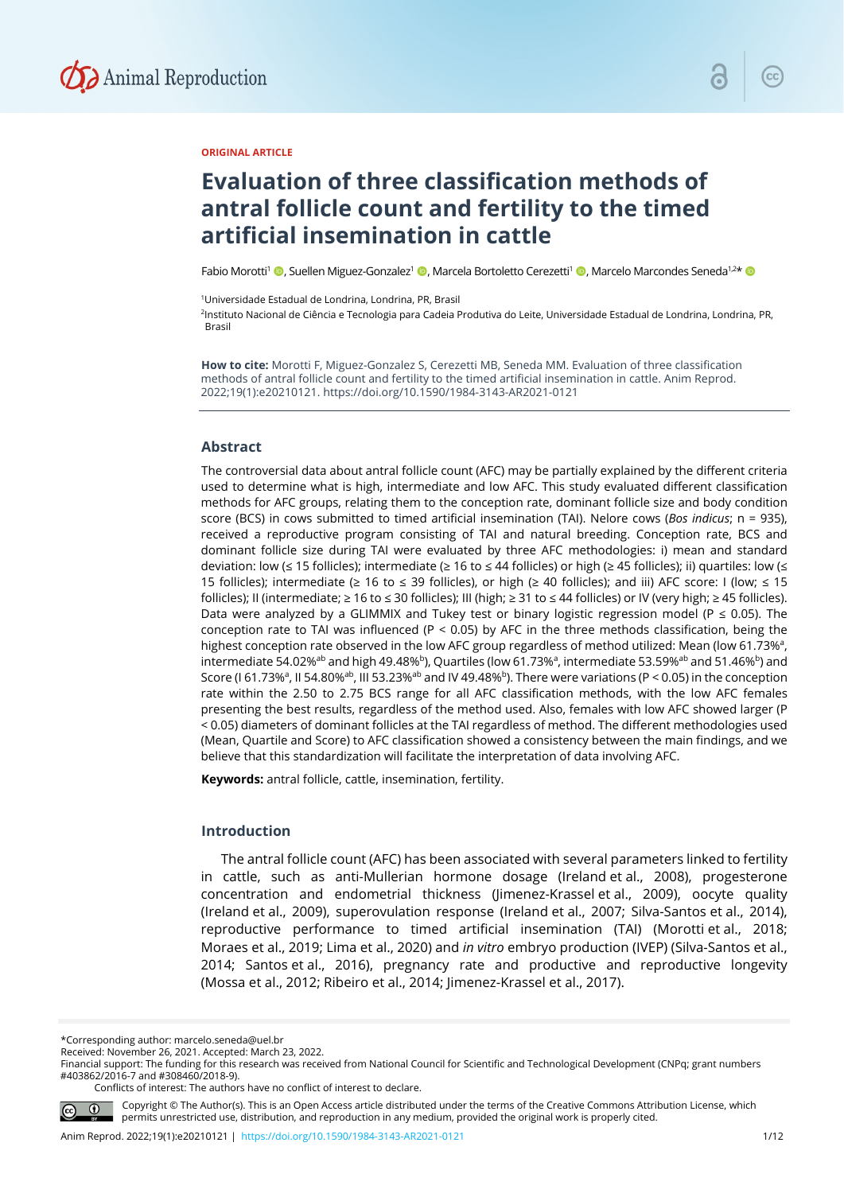

## **ORIGINAL ARTICLE**

# **Evaluation of three classification methods of antral follicle count and fertility to the timed artificial insemination in cattle**

Fabio Morotti<sup>1</sup> ©, Suellen Miguez-Gonzalez<sup>1</sup> ©, Marcela Bortoletto Cerezetti<sup>1</sup> ©, Marcelo Marcondes Seneda<sup>1,2\*</sup> ©

1Universidade Estadual de Londrina, Londrina, PR, Brasil

<sup>2</sup>Instituto Nacional de Ciência e Tecnologia para Cadeia Produtiva do Leite, Universidade Estadual de Londrina, Londrina, PR, Brasil

**How to cite:** Morotti F, Miguez-Gonzalez S, Cerezetti MB, Seneda MM. Evaluation of three classification methods of antral follicle count and fertility to the timed artificial insemination in cattle. Anim Reprod. 2022;19(1):e20210121. https://doi.org/10.1590/1984-3143-AR2021-0121

#### **Abstract**

The controversial data about antral follicle count (AFC) may be partially explained by the different criteria used to determine what is high, intermediate and low AFC. This study evaluated different classification methods for AFC groups, relating them to the conception rate, dominant follicle size and body condition score (BCS) in cows submitted to timed artificial insemination (TAI). Nelore cows (*Bos indicus*; n = 935), received a reproductive program consisting of TAI and natural breeding. Conception rate, BCS and dominant follicle size during TAI were evaluated by three AFC methodologies: i) mean and standard deviation: low (≤ 15 follicles); intermediate (≥ 16 to ≤ 44 follicles) or high (≥ 45 follicles); ii) quartiles: low (≤ 15 follicles); intermediate (≥ 16 to ≤ 39 follicles), or high (≥ 40 follicles); and iii) AFC score: I (low; ≤ 15 follicles); II (intermediate; ≥ 16 to ≤ 30 follicles); III (high; ≥ 31 to ≤ 44 follicles) or IV (very high; ≥ 45 follicles). Data were analyzed by a GLIMMIX and Tukey test or binary logistic regression model (P  $\leq$  0.05). The conception rate to TAI was influenced (P < 0.05) by AFC in the three methods classification, being the highest conception rate observed in the low AFC group regardless of method utilized: Mean (low 61.73%<sup>a</sup>, intermediate 54.02%<sup>ab</sup> and high 49.48%<sup>b</sup>), Quartiles (low 61.73%<sup>a</sup>, intermediate 53.59%<sup>ab</sup> and 51.46%<sup>b</sup>) and Score (I 61.73%<sup>a</sup>, II 54.80%<sup>ab</sup>, III 53.23%<sup>ab</sup> and IV 49.48%<sup>b</sup>). There were variations (P < 0.05) in the conception rate within the 2.50 to 2.75 BCS range for all AFC classification methods, with the low AFC females presenting the best results, regardless of the method used. Also, females with low AFC showed larger (P < 0.05) diameters of dominant follicles at the TAI regardless of method. The different methodologies used (Mean, Quartile and Score) to AFC classification showed a consistency between the main findings, and we believe that this standardization will facilitate the interpretation of data involving AFC.

**Keywords:** antral follicle, cattle, insemination, fertility.

## **Introduction**

The antral follicle count (AFC) has been associated with several parameters linked to fertility in cattle, such as anti-Mullerian hormone dosage (Ireland et al., 2008), progesterone concentration and endometrial thickness (Jimenez-Krassel et al., 2009), oocyte quality (Ireland et al., 2009), superovulation response (Ireland et al., 2007; Silva-Santos et al., 2014), reproductive performance to timed artificial insemination (TAI) (Morotti et al., 2018; Moraes et al., 2019; Lima et al., 2020) and *in vitro* embryo production (IVEP) (Silva-Santos et al., 2014; Santos et al., 2016), pregnancy rate and productive and reproductive longevity (Mossa et al., 2012; Ribeiro et al., 2014; Jimenez-Krassel et al., 2017).

\*Corresponding author: marcelo.seneda@uel.br

Conflicts of interest: The authors have no conflict of interest to declare.



Copyright © The Author(s). This is an Open Access article distributed under the terms of the Creative Commons Attribution License, which permits unrestricted use, distribution, and reproduction in any medium, provided the original work is properly cited.

Received: November 26, 2021. Accepted: March 23, 2022.

Financial support: The funding for this research was received from National Council for Scientific and Technological Development (CNPq; grant numbers #403862/2016-7 and #308460/2018-9).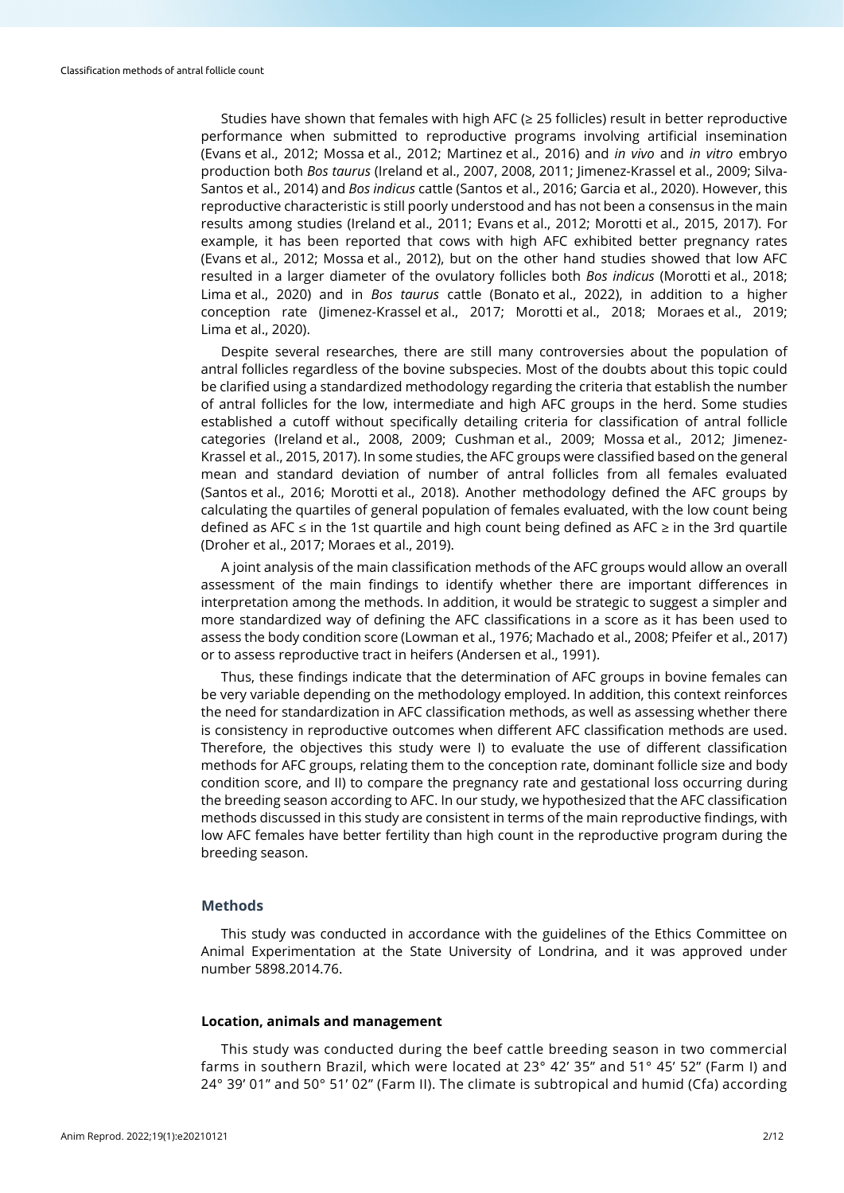Studies have shown that females with high AFC (≥ 25 follicles) result in better reproductive performance when submitted to reproductive programs involving artificial insemination (Evans et al., 2012; Mossa et al., 2012; Martinez et al., 2016) and *in vivo* and *in vitro* embryo production both *Bos taurus* (Ireland et al., 2007, 2008, 2011; Jimenez-Krassel et al., 2009; Silva-Santos et al., 2014) and *Bos indicus* cattle (Santos et al., 2016; Garcia et al., 2020). However, this reproductive characteristic is still poorly understood and has not been a consensus in the main results among studies (Ireland et al., 2011; Evans et al., 2012; Morotti et al., 2015, 2017). For example, it has been reported that cows with high AFC exhibited better pregnancy rates (Evans et al., 2012; Mossa et al., 2012), but on the other hand studies showed that low AFC resulted in a larger diameter of the ovulatory follicles both *Bos indicus* (Morotti et al., 2018; Lima et al., 2020) and in *Bos taurus* cattle (Bonato et al., 2022), in addition to a higher conception rate (Jimenez-Krassel et al., 2017; Morotti et al., 2018; Moraes et al., 2019; Lima et al., 2020).

Despite several researches, there are still many controversies about the population of antral follicles regardless of the bovine subspecies. Most of the doubts about this topic could be clarified using a standardized methodology regarding the criteria that establish the number of antral follicles for the low, intermediate and high AFC groups in the herd. Some studies established a cutoff without specifically detailing criteria for classification of antral follicle categories (Ireland et al., 2008, 2009; Cushman et al., 2009; Mossa et al., 2012; Jimenez-Krassel et al., 2015, 2017). In some studies, the AFC groups were classified based on the general mean and standard deviation of number of antral follicles from all females evaluated (Santos et al., 2016; Morotti et al., 2018). Another methodology defined the AFC groups by calculating the quartiles of general population of females evaluated, with the low count being defined as AFC ≤ in the 1st quartile and high count being defined as AFC ≥ in the 3rd quartile (Droher et al., 2017; Moraes et al., 2019).

A joint analysis of the main classification methods of the AFC groups would allow an overall assessment of the main findings to identify whether there are important differences in interpretation among the methods. In addition, it would be strategic to suggest a simpler and more standardized way of defining the AFC classifications in a score as it has been used to assess the body condition score (Lowman et al., 1976; Machado et al., 2008; Pfeifer et al., 2017) or to assess reproductive tract in heifers (Andersen et al., 1991).

Thus, these findings indicate that the determination of AFC groups in bovine females can be very variable depending on the methodology employed. In addition, this context reinforces the need for standardization in AFC classification methods, as well as assessing whether there is consistency in reproductive outcomes when different AFC classification methods are used. Therefore, the objectives this study were I) to evaluate the use of different classification methods for AFC groups, relating them to the conception rate, dominant follicle size and body condition score, and II) to compare the pregnancy rate and gestational loss occurring during the breeding season according to AFC. In our study, we hypothesized that the AFC classification methods discussed in this study are consistent in terms of the main reproductive findings, with low AFC females have better fertility than high count in the reproductive program during the breeding season.

#### **Methods**

This study was conducted in accordance with the guidelines of the Ethics Committee on Animal Experimentation at the State University of Londrina, and it was approved under number 5898.2014.76.

#### **Location, animals and management**

This study was conducted during the beef cattle breeding season in two commercial farms in southern Brazil, which were located at 23° 42' 35" and 51° 45' 52" (Farm I) and 24° 39' 01" and 50° 51' 02" (Farm II). The climate is subtropical and humid (Cfa) according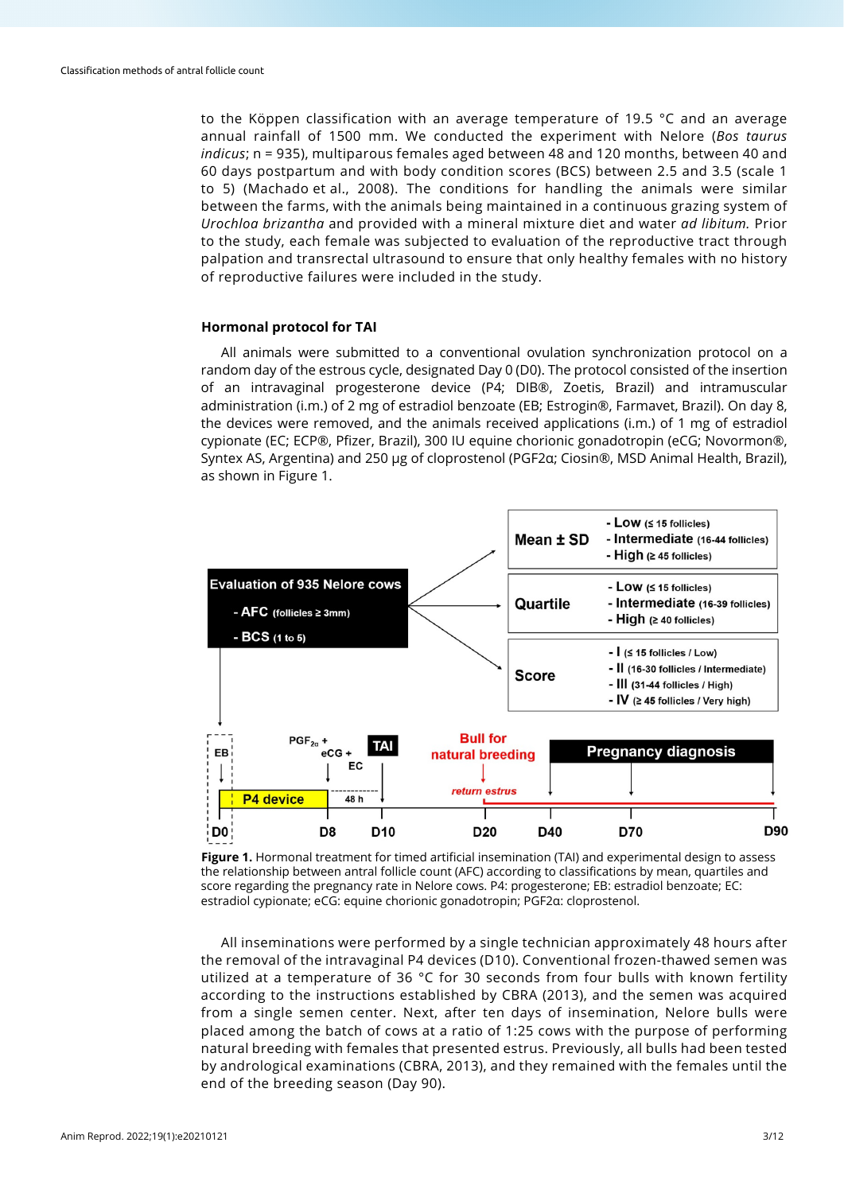to the Köppen classification with an average temperature of 19.5 °C and an average annual rainfall of 1500 mm. We conducted the experiment with Nelore (*Bos taurus indicus*; n = 935), multiparous females aged between 48 and 120 months, between 40 and 60 days postpartum and with body condition scores (BCS) between 2.5 and 3.5 (scale 1 to 5) (Machado et al., 2008). The conditions for handling the animals were similar between the farms, with the animals being maintained in a continuous grazing system of *Urochloa brizantha* and provided with a mineral mixture diet and water *ad libitum.* Prior to the study, each female was subjected to evaluation of the reproductive tract through palpation and transrectal ultrasound to ensure that only healthy females with no history of reproductive failures were included in the study.

## **Hormonal protocol for TAI**

All animals were submitted to a conventional ovulation synchronization protocol on a random day of the estrous cycle, designated Day 0 (D0). The protocol consisted of the insertion of an intravaginal progesterone device (P4; DIB®, Zoetis, Brazil) and intramuscular administration (i.m.) of 2 mg of estradiol benzoate (EB; Estrogin®, Farmavet, Brazil). On day 8, the devices were removed, and the animals received applications (i.m.) of 1 mg of estradiol cypionate (EC; ECP®, Pfizer, Brazil), 300 IU equine chorionic gonadotropin (eCG; Novormon®, Syntex AS, Argentina) and 250 μg of cloprostenol (PGF2α; Ciosin®, MSD Animal Health, Brazil), as shown in Figure 1.



**Figure 1.** Hormonal treatment for timed artificial insemination (TAI) and experimental design to assess the relationship between antral follicle count (AFC) according to classifications by mean, quartiles and score regarding the pregnancy rate in Nelore cows. P4: progesterone; EB: estradiol benzoate; EC: estradiol cypionate; eCG: equine chorionic gonadotropin; PGF2α: cloprostenol.

All inseminations were performed by a single technician approximately 48 hours after the removal of the intravaginal P4 devices (D10). Conventional frozen-thawed semen was utilized at a temperature of 36 °C for 30 seconds from four bulls with known fertility according to the instructions established by CBRA (2013), and the semen was acquired from a single semen center. Next, after ten days of insemination, Nelore bulls were placed among the batch of cows at a ratio of 1:25 cows with the purpose of performing natural breeding with females that presented estrus. Previously, all bulls had been tested by andrological examinations (CBRA, 2013), and they remained with the females until the end of the breeding season (Day 90).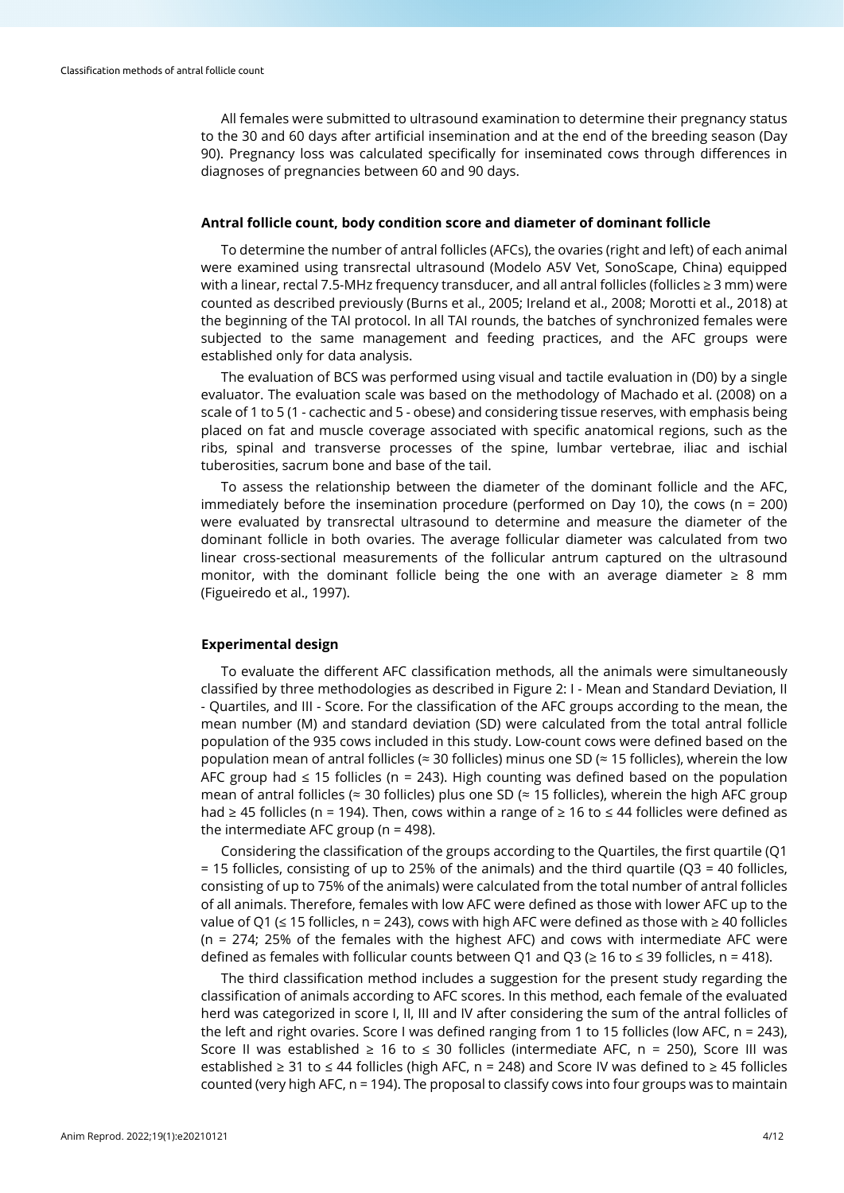All females were submitted to ultrasound examination to determine their pregnancy status to the 30 and 60 days after artificial insemination and at the end of the breeding season (Day 90). Pregnancy loss was calculated specifically for inseminated cows through differences in diagnoses of pregnancies between 60 and 90 days.

## **Antral follicle count, body condition score and diameter of dominant follicle**

To determine the number of antral follicles (AFCs), the ovaries (right and left) of each animal were examined using transrectal ultrasound (Modelo A5V Vet, SonoScape, China) equipped with a linear, rectal 7.5-MHz frequency transducer, and all antral follicles (follicles ≥ 3 mm) were counted as described previously (Burns et al., 2005; Ireland et al., 2008; Morotti et al., 2018) at the beginning of the TAI protocol. In all TAI rounds, the batches of synchronized females were subjected to the same management and feeding practices, and the AFC groups were established only for data analysis.

The evaluation of BCS was performed using visual and tactile evaluation in (D0) by a single evaluator. The evaluation scale was based on the methodology of Machado et al. (2008) on a scale of 1 to 5 (1 - cachectic and 5 - obese) and considering tissue reserves, with emphasis being placed on fat and muscle coverage associated with specific anatomical regions, such as the ribs, spinal and transverse processes of the spine, lumbar vertebrae, iliac and ischial tuberosities, sacrum bone and base of the tail.

To assess the relationship between the diameter of the dominant follicle and the AFC, immediately before the insemination procedure (performed on Day 10), the cows ( $n = 200$ ) were evaluated by transrectal ultrasound to determine and measure the diameter of the dominant follicle in both ovaries. The average follicular diameter was calculated from two linear cross-sectional measurements of the follicular antrum captured on the ultrasound monitor, with the dominant follicle being the one with an average diameter  $\geq 8$  mm (Figueiredo et al., 1997).

## **Experimental design**

To evaluate the different AFC classification methods, all the animals were simultaneously classified by three methodologies as described in Figure 2: I - Mean and Standard Deviation, II - Quartiles, and III - Score. For the classification of the AFC groups according to the mean, the mean number (M) and standard deviation (SD) were calculated from the total antral follicle population of the 935 cows included in this study. Low-count cows were defined based on the population mean of antral follicles (≈ 30 follicles) minus one SD (≈ 15 follicles), wherein the low AFC group had ≤ 15 follicles (n = 243). High counting was defined based on the population mean of antral follicles ( $\approx$  30 follicles) plus one SD ( $\approx$  15 follicles), wherein the high AFC group had ≥ 45 follicles (n = 194). Then, cows within a range of ≥ 16 to ≤ 44 follicles were defined as the intermediate AFC group (n = 498).

Considering the classification of the groups according to the Quartiles, the first quartile (Q1 = 15 follicles, consisting of up to 25% of the animals) and the third quartile (Q3 = 40 follicles, consisting of up to 75% of the animals) were calculated from the total number of antral follicles of all animals. Therefore, females with low AFC were defined as those with lower AFC up to the value of Q1 (≤ 15 follicles, n = 243), cows with high AFC were defined as those with ≥ 40 follicles (n = 274; 25% of the females with the highest AFC) and cows with intermediate AFC were defined as females with follicular counts between Q1 and Q3 (≥ 16 to ≤ 39 follicles, n = 418).

The third classification method includes a suggestion for the present study regarding the classification of animals according to AFC scores. In this method, each female of the evaluated herd was categorized in score I, II, III and IV after considering the sum of the antral follicles of the left and right ovaries. Score I was defined ranging from 1 to 15 follicles (low AFC, n = 243), Score II was established  $\geq 16$  to  $\leq 30$  follicles (intermediate AFC, n = 250), Score III was established ≥ 31 to ≤ 44 follicles (high AFC, n = 248) and Score IV was defined to ≥ 45 follicles counted (very high AFC, n = 194). The proposal to classify cows into four groups was to maintain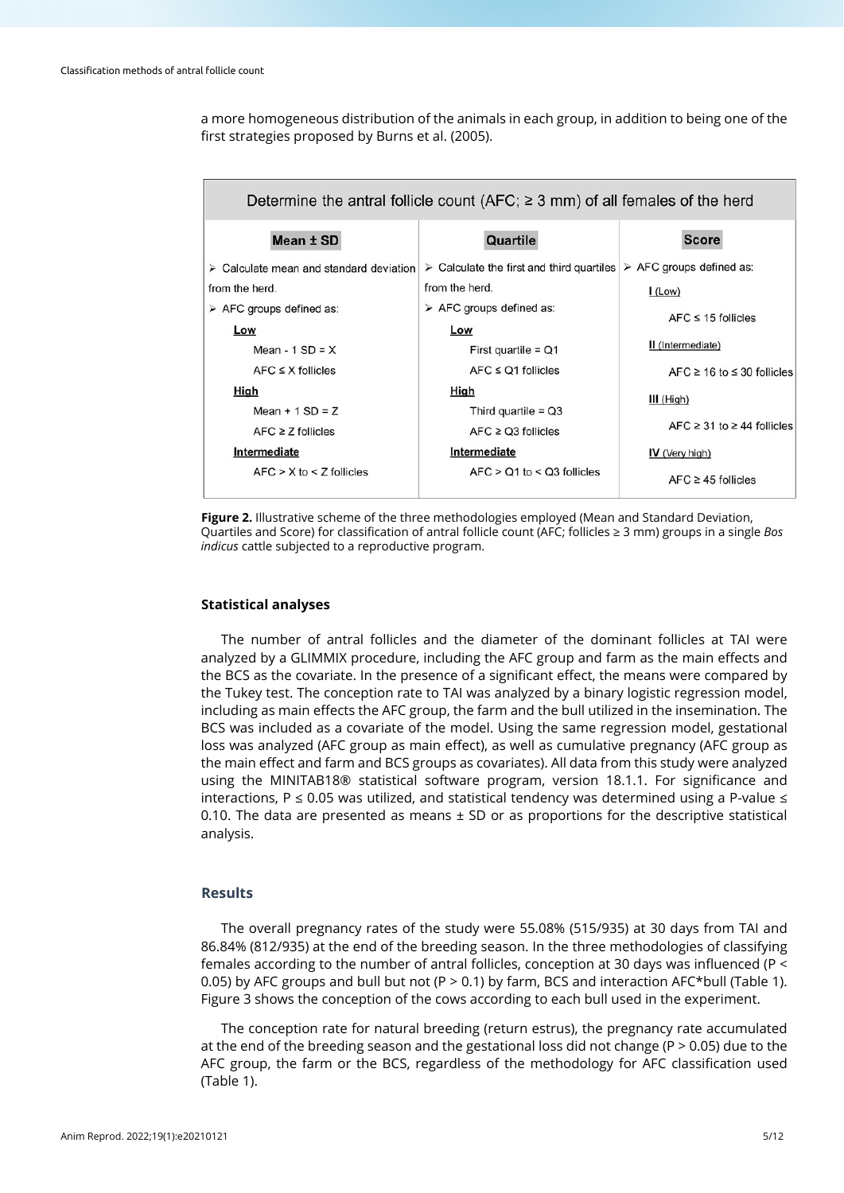a more homogeneous distribution of the animals in each group, in addition to being one of the first strategies proposed by Burns et al. (2005).

| Determine the antral follicle count (AFC; $\geq$ 3 mm) of all females of the herd |                                                          |                                         |  |  |  |
|-----------------------------------------------------------------------------------|----------------------------------------------------------|-----------------------------------------|--|--|--|
| Mean ± SD                                                                         | Quartile                                                 | <b>Score</b>                            |  |  |  |
| $\triangleright$ Calculate mean and standard deviation                            | $\triangleright$ Calculate the first and third quartiles | $\triangleright$ AFC groups defined as: |  |  |  |
| from the herd.                                                                    | from the herd.                                           | $L_{(Low)}$                             |  |  |  |
| $\triangleright$ AFC groups defined as:                                           | $\triangleright$ AFC groups defined as:                  | $AFC \leq 15$ follicles                 |  |  |  |
| Low                                                                               | Low                                                      |                                         |  |  |  |
| Mean - $1$ SD = $X$                                                               | First quartile = $Q1$                                    | II (Intermediate)                       |  |  |  |
| $AFC \leq X$ follicles                                                            | $AFC \leq Q1$ follicles                                  | $AFC \ge 16$ to $\le 30$ follicles      |  |  |  |
| High                                                                              | High                                                     | $III$ (High)                            |  |  |  |
| Mean $+1$ SD = Z                                                                  | Third quartile = $Q3$                                    |                                         |  |  |  |
| $AFC \geq Z$ follicles                                                            | $AFC \geq Q3$ follicles                                  | $AFC \geq 31$ to $\geq 44$ follicles    |  |  |  |
| Intermediate                                                                      | Intermediate                                             | <b>IV</b> (Very high)                   |  |  |  |
| $AFC > X$ to $\leq Z$ follicles                                                   | $AFC > Q1$ to < $Q3$ follicles                           | $AFC \geq 45$ follicles                 |  |  |  |

**Figure 2.** Illustrative scheme of the three methodologies employed (Mean and Standard Deviation, Quartiles and Score) for classification of antral follicle count (AFC; follicles ≥ 3 mm) groups in a single *Bos indicus* cattle subjected to a reproductive program.

## **Statistical analyses**

The number of antral follicles and the diameter of the dominant follicles at TAI were analyzed by a GLIMMIX procedure, including the AFC group and farm as the main effects and the BCS as the covariate. In the presence of a significant effect, the means were compared by the Tukey test. The conception rate to TAI was analyzed by a binary logistic regression model, including as main effects the AFC group, the farm and the bull utilized in the insemination. The BCS was included as a covariate of the model. Using the same regression model, gestational loss was analyzed (AFC group as main effect), as well as cumulative pregnancy (AFC group as the main effect and farm and BCS groups as covariates). All data from this study were analyzed using the MINITAB18® statistical software program, version 18.1.1. For significance and interactions, P  $\leq$  0.05 was utilized, and statistical tendency was determined using a P-value  $\leq$ 0.10. The data are presented as means  $\pm$  SD or as proportions for the descriptive statistical analysis.

## **Results**

The overall pregnancy rates of the study were 55.08% (515/935) at 30 days from TAI and 86.84% (812/935) at the end of the breeding season. In the three methodologies of classifying females according to the number of antral follicles, conception at 30 days was influenced (P < 0.05) by AFC groups and bull but not (P > 0.1) by farm, BCS and interaction AFC\*bull (Table 1). Figure 3 shows the conception of the cows according to each bull used in the experiment.

The conception rate for natural breeding (return estrus), the pregnancy rate accumulated at the end of the breeding season and the gestational loss did not change (P > 0.05) due to the AFC group, the farm or the BCS, regardless of the methodology for AFC classification used (Table 1).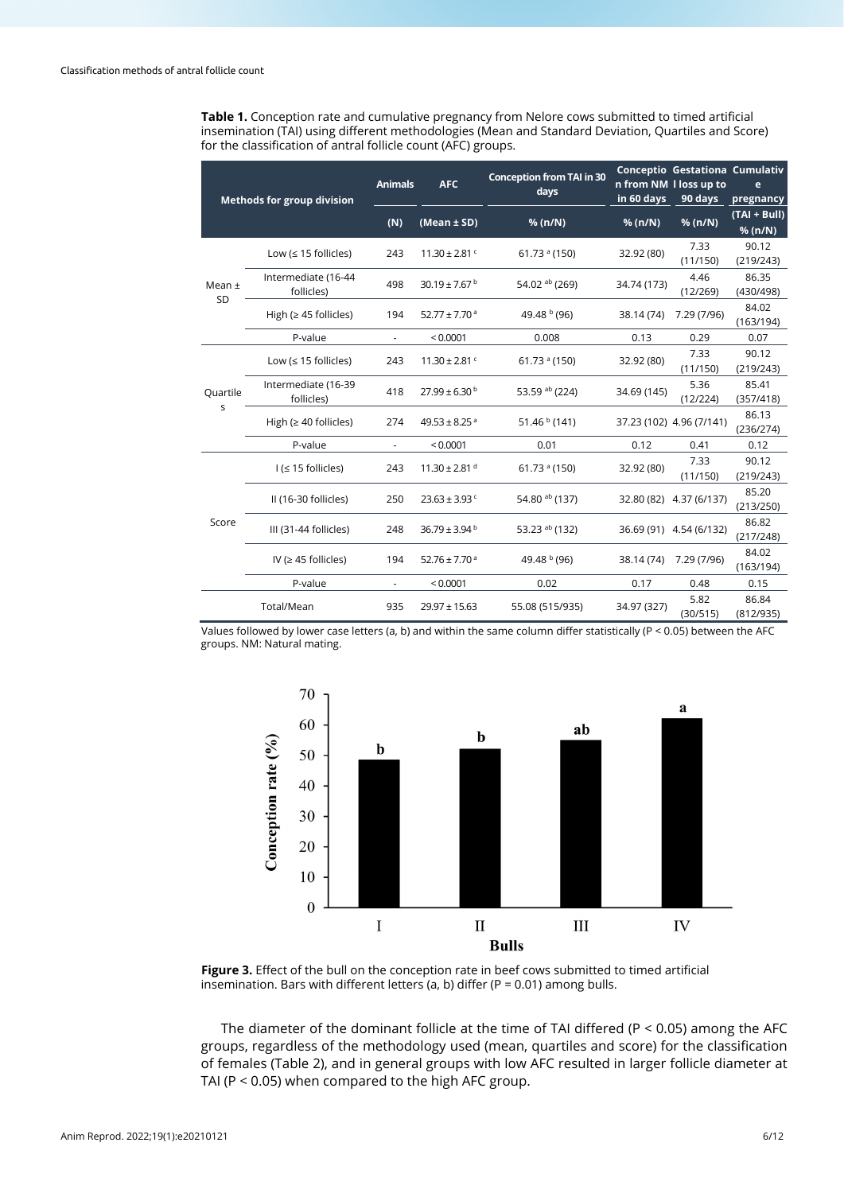**Table 1.** Conception rate and cumulative pregnancy from Nelore cows submitted to timed artificial insemination (TAI) using different methodologies (Mean and Standard Deviation, Quartiles and Score) for the classification of antral follicle count (AFC) groups.

| <b>Methods for group division</b>                 |                                   | <b>Animals</b>           | <b>AFC</b>                    | <b>Conception from TAI in 30</b><br>days | in 60 days  | Conceptio Gestationa Cumulativ<br>n from NM I loss up to<br>90 days | e<br>pregnancy            |
|---------------------------------------------------|-----------------------------------|--------------------------|-------------------------------|------------------------------------------|-------------|---------------------------------------------------------------------|---------------------------|
|                                                   |                                   | (N)                      | (Mean $\pm$ SD)               | % (n/N)                                  | % (n/N)     | % (n/N)                                                             | $(TAI + Bull)$<br>% (n/N) |
| Mean $\pm$<br><b>SD</b><br>Quartile<br>S<br>Score | Low ( $\leq$ 15 follicles)        | 243                      | $11.30 \pm 2.81$ <sup>c</sup> | $61.73$ <sup>a</sup> (150)               | 32.92 (80)  | 7.33<br>(11/150)                                                    | 90.12<br>(219/243)        |
|                                                   | Intermediate (16-44<br>follicles) | 498                      | 30.19 ± 7.67 $^{\rm b}$       | 54.02 ab (269)                           | 34.74 (173) | 4.46<br>(12/269)                                                    | 86.35<br>(430/498)        |
|                                                   | High ( $\geq$ 45 follicles)       | 194                      | 52.77 ± 7.70 $a$              | 49.48 b (96)                             | 38.14 (74)  | 7.29 (7/96)                                                         | 84.02<br>(163/194)        |
|                                                   | P-value                           |                          | < 0.0001                      | 0.008                                    | 0.13        | 0.29                                                                | 0.07                      |
|                                                   | Low ( $\leq$ 15 follicles)        | 243                      | $11.30 \pm 2.81$ <sup>c</sup> | $61.73$ <sup>a</sup> (150)               | 32.92 (80)  | 7.33<br>(11/150)                                                    | 90.12<br>(219/243)        |
|                                                   | Intermediate (16-39<br>follicles) | 418                      | $27.99 \pm 6.30^{\mathrm{b}}$ | 53.59 ab (224)                           | 34.69 (145) | 5.36<br>(12/224)                                                    | 85.41<br>(357/418)        |
|                                                   | High ( $\geq 40$ follicles)       | 274                      | 49.53 ± 8.25 $a$              | 51.46 $b$ (141)                          |             | 37.23 (102) 4.96 (7/141)                                            | 86.13<br>(236/274)        |
|                                                   | P-value                           | $\overline{\phantom{a}}$ | < 0.0001                      | 0.01                                     | 0.12        | 0.41                                                                | 0.12                      |
|                                                   | $1 \leq 15$ follicles)            | 243                      | $11.30 \pm 2.81$ <sup>d</sup> | $61.73$ <sup>a</sup> (150)               | 32.92 (80)  | 7.33<br>(11/150)                                                    | 90.12<br>(219/243)        |
|                                                   | II (16-30 follicles)              | 250                      | $23.63 \pm 3.93$ <sup>c</sup> | 54.80 ab (137)                           |             | 32.80 (82) 4.37 (6/137)                                             | 85.20<br>(213/250)        |
|                                                   | III (31-44 follicles)             | 248                      | $36.79 \pm 3.94^{\text{ b}}$  | 53.23 ab (132)                           |             | 36.69 (91) 4.54 (6/132)                                             | 86.82<br>(217/248)        |
|                                                   | IV ( $\geq$ 45 follicles)         | 194                      | $52.76 \pm 7.70$ <sup>a</sup> | 49.48 b (96)                             | 38.14 (74)  | 7.29 (7/96)                                                         | 84.02<br>(163/194)        |
|                                                   | P-value                           |                          | < 0.0001                      | 0.02                                     | 0.17        | 0.48                                                                | 0.15                      |
|                                                   | Total/Mean                        | 935                      | $29.97 \pm 15.63$             | 55.08 (515/935)                          | 34.97 (327) | 5.82<br>(30/515)                                                    | 86.84<br>(812/935)        |

Values followed by lower case letters (a, b) and within the same column differ statistically (P < 0.05) between the AFC groups. NM: Natural mating.



**Figure 3.** Effect of the bull on the conception rate in beef cows submitted to timed artificial insemination. Bars with different letters (a, b) differ ( $P = 0.01$ ) among bulls.

The diameter of the dominant follicle at the time of TAI differed ( $P < 0.05$ ) among the AFC groups, regardless of the methodology used (mean, quartiles and score) for the classification of females (Table 2), and in general groups with low AFC resulted in larger follicle diameter at TAI (P < 0.05) when compared to the high AFC group.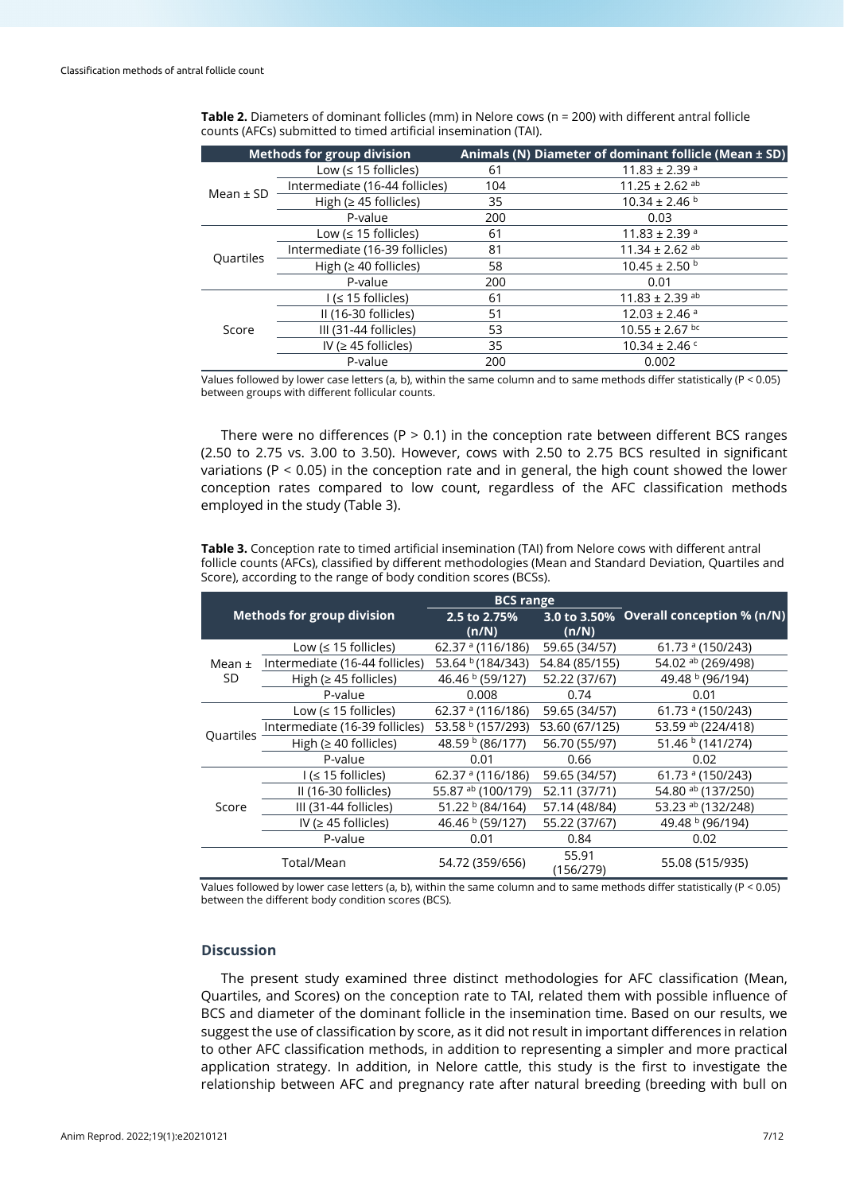|               | <b>Methods for group division</b> |     | Animals (N) Diameter of dominant follicle (Mean $\pm$ SD) |
|---------------|-----------------------------------|-----|-----------------------------------------------------------|
| Mean $\pm$ SD | Low ( $\leq$ 15 follicles)        | 61  | $11.83 \pm 2.39$ <sup>a</sup>                             |
|               | Intermediate (16-44 follicles)    | 104 | $11.25 \pm 2.62$ <sup>ab</sup>                            |
|               | High ( $\geq$ 45 follicles)       | 35  | $10.34 \pm 2.46$ b                                        |
|               | P-value                           | 200 | 0.03                                                      |
| Quartiles     | Low ( $\leq$ 15 follicles)        | 61  | $11.83 \pm 2.39$ <sup>a</sup>                             |
|               | Intermediate (16-39 follicles)    | 81  | $11.34 \pm 2.62$ <sup>ab</sup>                            |
|               | High ( $\geq 40$ follicles)       | 58  | $10.45 \pm 2.50$ b                                        |
|               | P-value                           | 200 | 0.01                                                      |
| Score         | $1 \leq 15$ follicles)            | 61  | $11.83 \pm 2.39$ <sup>ab</sup>                            |
|               | II (16-30 follicles)              | 51  | $12.03 \pm 2.46$ <sup>a</sup>                             |
|               | III (31-44 follicles)             | 53  | $10.55 \pm 2.67$ bc                                       |
|               | IV ( $\geq$ 45 follicles)         | 35  | $10.34 \pm 2.46$ c                                        |
|               | P-value                           | 200 | 0.002                                                     |

**Table 2.** Diameters of dominant follicles (mm) in Nelore cows (n = 200) with different antral follicle counts (AFCs) submitted to timed artificial insemination (TAI).

Values followed by lower case letters (a, b), within the same column and to same methods differ statistically (P < 0.05) between groups with different follicular counts.

There were no differences (P  $>$  0.1) in the conception rate between different BCS ranges (2.50 to 2.75 vs. 3.00 to 3.50). However, cows with 2.50 to 2.75 BCS resulted in significant variations ( $P < 0.05$ ) in the conception rate and in general, the high count showed the lower conception rates compared to low count, regardless of the AFC classification methods employed in the study (Table 3).

**Table 3.** Conception rate to timed artificial insemination (TAI) from Nelore cows with different antral follicle counts (AFCs), classified by different methodologies (Mean and Standard Deviation, Quartiles and Score), according to the range of body condition scores (BCSs).

|                   |                                   | <b>BCS</b> range      |                    |                                         |
|-------------------|-----------------------------------|-----------------------|--------------------|-----------------------------------------|
|                   | <b>Methods for group division</b> | 2.5 to 2.75%<br>(n/N) | (n/N)              | 3.0 to 3.50% Overall conception % (n/N) |
| Mean $\pm$<br>SD. | Low ( $\leq$ 15 follicles)        | 62.37 $^a$ (116/186)  | 59.65 (34/57)      | 61.73 $^{\circ}$ (150/243)              |
|                   | Intermediate (16-44 follicles)    | 53.64 b (184/343)     | 54.84 (85/155)     | 54.02 ab (269/498)                      |
|                   | High ( $\geq$ 45 follicles)       | 46.46 b (59/127)      | 52.22 (37/67)      | 49.48 b (96/194)                        |
|                   | P-value                           | 0.008                 | 0.74               | 0.01                                    |
| Ouartiles         | Low ( $\leq$ 15 follicles)        | 62.37 $^a$ (116/186)  | 59.65 (34/57)      | 61.73 $^{\circ}$ (150/243)              |
|                   | Intermediate (16-39 follicles)    | 53.58 b (157/293)     | 53.60 (67/125)     | 53.59 ab (224/418)                      |
|                   | High ( $\geq 40$ follicles)       | 48.59 b (86/177)      | 56.70 (55/97)      | 51.46 b (141/274)                       |
|                   | P-value                           | 0.01                  | 0.66               | 0.02                                    |
| Score             | $I \leq 15$ follicles)            | 62.37 $a$ (116/186)   | 59.65 (34/57)      | 61.73 $^{\circ}$ (150/243)              |
|                   | II (16-30 follicles)              | 55.87 ab (100/179)    | 52.11 (37/71)      | 54.80 ab (137/250)                      |
|                   | III (31-44 follicles)             | 51.22 b (84/164)      | 57.14 (48/84)      | 53.23 ab (132/248)                      |
|                   | IV ( $\geq$ 45 follicles)         | 46.46 b (59/127)      | 55.22 (37/67)      | 49.48 b (96/194)                        |
|                   | P-value                           | 0.01                  | 0.84               | 0.02                                    |
|                   | Total/Mean                        | 54.72 (359/656)       | 55.91<br>(156/279) | 55.08 (515/935)                         |

Values followed by lower case letters (a, b), within the same column and to same methods differ statistically (P < 0.05) between the different body condition scores (BCS).

## **Discussion**

The present study examined three distinct methodologies for AFC classification (Mean, Quartiles, and Scores) on the conception rate to TAI, related them with possible influence of BCS and diameter of the dominant follicle in the insemination time. Based on our results, we suggest the use of classification by score, as it did not result in important differences in relation to other AFC classification methods, in addition to representing a simpler and more practical application strategy. In addition, in Nelore cattle, this study is the first to investigate the relationship between AFC and pregnancy rate after natural breeding (breeding with bull on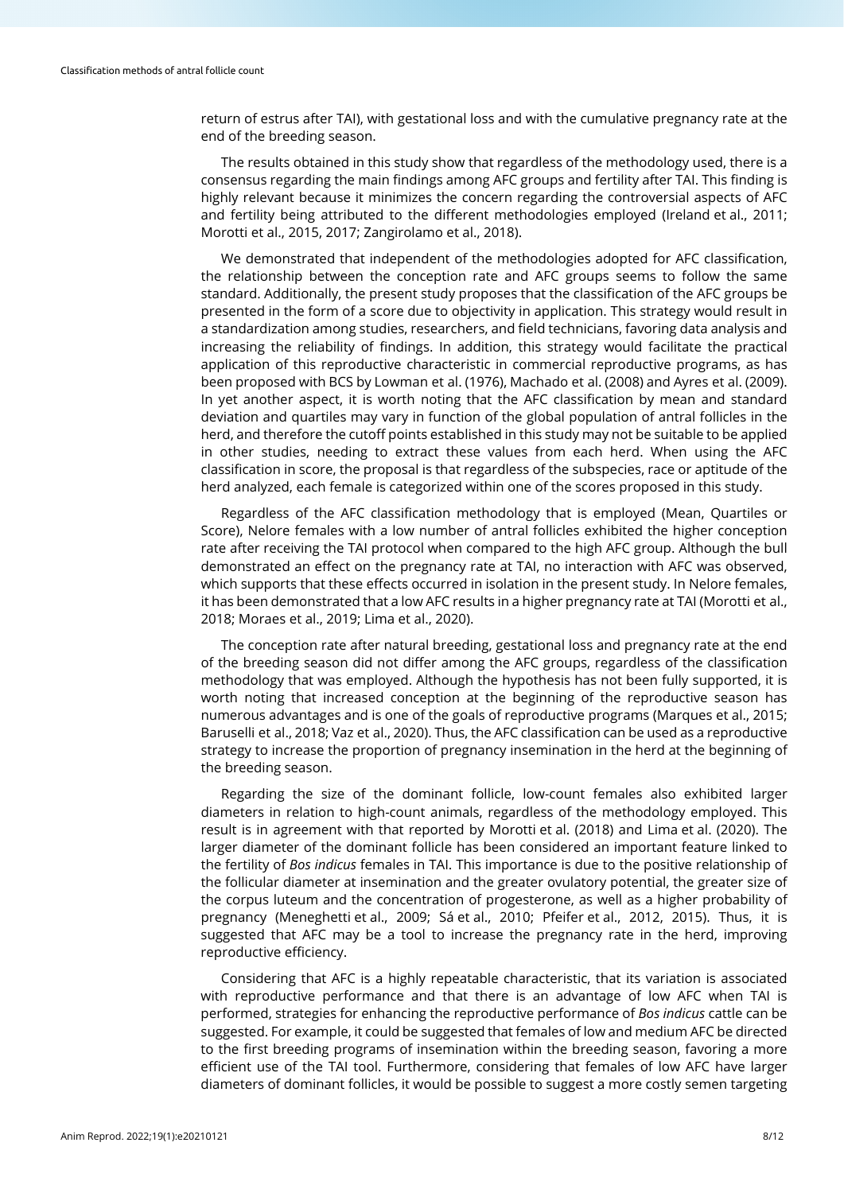return of estrus after TAI), with gestational loss and with the cumulative pregnancy rate at the end of the breeding season.

The results obtained in this study show that regardless of the methodology used, there is a consensus regarding the main findings among AFC groups and fertility after TAI. This finding is highly relevant because it minimizes the concern regarding the controversial aspects of AFC and fertility being attributed to the different methodologies employed (Ireland et al., 2011; Morotti et al., 2015, 2017; Zangirolamo et al., 2018).

We demonstrated that independent of the methodologies adopted for AFC classification, the relationship between the conception rate and AFC groups seems to follow the same standard. Additionally, the present study proposes that the classification of the AFC groups be presented in the form of a score due to objectivity in application. This strategy would result in a standardization among studies, researchers, and field technicians, favoring data analysis and increasing the reliability of findings. In addition, this strategy would facilitate the practical application of this reproductive characteristic in commercial reproductive programs, as has been proposed with BCS by Lowman et al. (1976), Machado et al. (2008) and Ayres et al. (2009). In yet another aspect, it is worth noting that the AFC classification by mean and standard deviation and quartiles may vary in function of the global population of antral follicles in the herd, and therefore the cutoff points established in this study may not be suitable to be applied in other studies, needing to extract these values from each herd. When using the AFC classification in score, the proposal is that regardless of the subspecies, race or aptitude of the herd analyzed, each female is categorized within one of the scores proposed in this study.

Regardless of the AFC classification methodology that is employed (Mean, Quartiles or Score), Nelore females with a low number of antral follicles exhibited the higher conception rate after receiving the TAI protocol when compared to the high AFC group. Although the bull demonstrated an effect on the pregnancy rate at TAI, no interaction with AFC was observed, which supports that these effects occurred in isolation in the present study. In Nelore females, it has been demonstrated that a low AFC results in a higher pregnancy rate at TAI (Morotti et al., 2018; Moraes et al., 2019; Lima et al., 2020).

The conception rate after natural breeding, gestational loss and pregnancy rate at the end of the breeding season did not differ among the AFC groups, regardless of the classification methodology that was employed. Although the hypothesis has not been fully supported, it is worth noting that increased conception at the beginning of the reproductive season has numerous advantages and is one of the goals of reproductive programs (Marques et al., 2015; Baruselli et al., 2018; Vaz et al., 2020). Thus, the AFC classification can be used as a reproductive strategy to increase the proportion of pregnancy insemination in the herd at the beginning of the breeding season.

Regarding the size of the dominant follicle, low-count females also exhibited larger diameters in relation to high-count animals, regardless of the methodology employed. This result is in agreement with that reported by Morotti et al. (2018) and Lima et al. (2020). The larger diameter of the dominant follicle has been considered an important feature linked to the fertility of *Bos indicus* females in TAI. This importance is due to the positive relationship of the follicular diameter at insemination and the greater ovulatory potential, the greater size of the corpus luteum and the concentration of progesterone, as well as a higher probability of pregnancy (Meneghetti et al., 2009; Sá et al., 2010; Pfeifer et al., 2012, 2015). Thus, it is suggested that AFC may be a tool to increase the pregnancy rate in the herd, improving reproductive efficiency.

Considering that AFC is a highly repeatable characteristic, that its variation is associated with reproductive performance and that there is an advantage of low AFC when TAI is performed, strategies for enhancing the reproductive performance of *Bos indicus* cattle can be suggested. For example, it could be suggested that females of low and medium AFC be directed to the first breeding programs of insemination within the breeding season, favoring a more efficient use of the TAI tool. Furthermore, considering that females of low AFC have larger diameters of dominant follicles, it would be possible to suggest a more costly semen targeting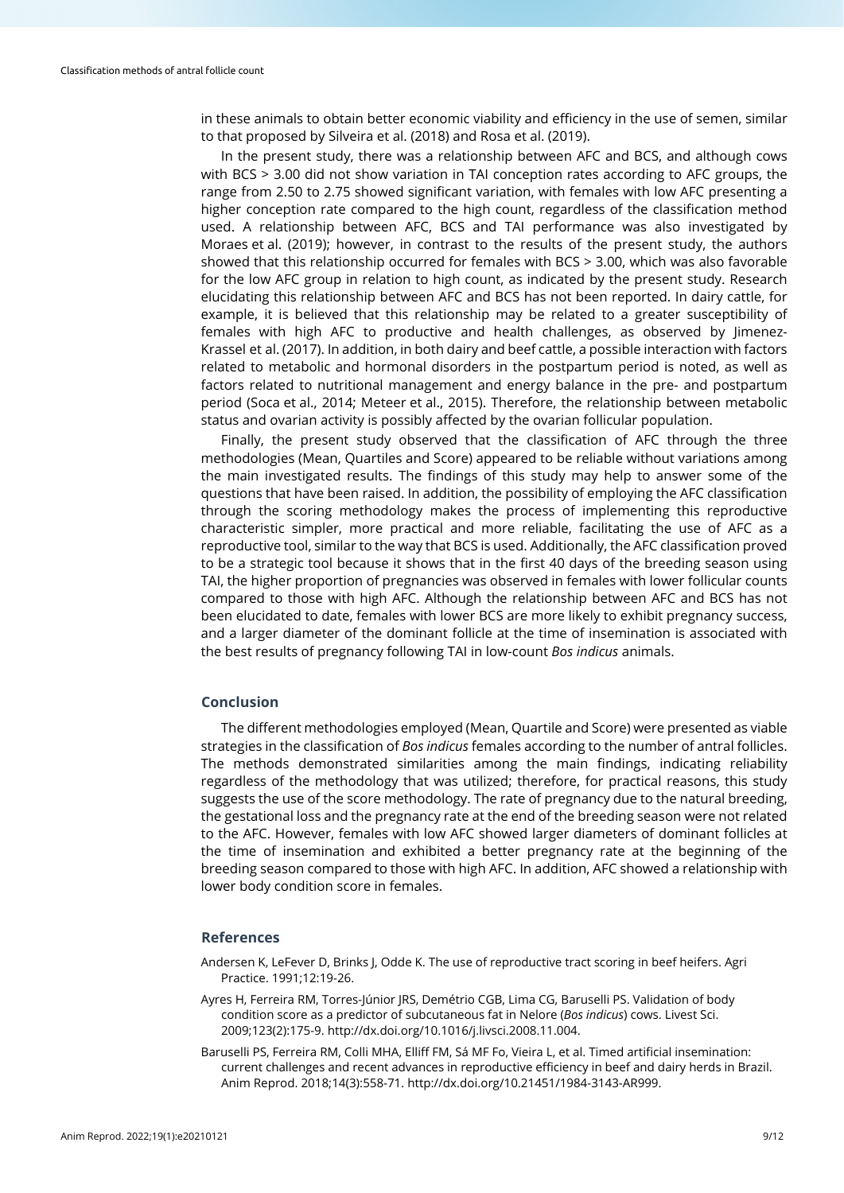in these animals to obtain better economic viability and efficiency in the use of semen, similar to that proposed by Silveira et al. (2018) and Rosa et al. (2019).

In the present study, there was a relationship between AFC and BCS, and although cows with BCS > 3.00 did not show variation in TAI conception rates according to AFC groups, the range from 2.50 to 2.75 showed significant variation, with females with low AFC presenting a higher conception rate compared to the high count, regardless of the classification method used. A relationship between AFC, BCS and TAI performance was also investigated by Moraes et al. (2019); however, in contrast to the results of the present study, the authors showed that this relationship occurred for females with BCS > 3.00, which was also favorable for the low AFC group in relation to high count, as indicated by the present study. Research elucidating this relationship between AFC and BCS has not been reported. In dairy cattle, for example, it is believed that this relationship may be related to a greater susceptibility of females with high AFC to productive and health challenges, as observed by Jimenez-Krassel et al. (2017). In addition, in both dairy and beef cattle, a possible interaction with factors related to metabolic and hormonal disorders in the postpartum period is noted, as well as factors related to nutritional management and energy balance in the pre- and postpartum period (Soca et al., 2014; Meteer et al., 2015). Therefore, the relationship between metabolic status and ovarian activity is possibly affected by the ovarian follicular population.

Finally, the present study observed that the classification of AFC through the three methodologies (Mean, Quartiles and Score) appeared to be reliable without variations among the main investigated results. The findings of this study may help to answer some of the questions that have been raised. In addition, the possibility of employing the AFC classification through the scoring methodology makes the process of implementing this reproductive characteristic simpler, more practical and more reliable, facilitating the use of AFC as a reproductive tool, similar to the way that BCS is used. Additionally, the AFC classification proved to be a strategic tool because it shows that in the first 40 days of the breeding season using TAI, the higher proportion of pregnancies was observed in females with lower follicular counts compared to those with high AFC. Although the relationship between AFC and BCS has not been elucidated to date, females with lower BCS are more likely to exhibit pregnancy success, and a larger diameter of the dominant follicle at the time of insemination is associated with the best results of pregnancy following TAI in low-count *Bos indicus* animals.

#### **Conclusion**

The different methodologies employed (Mean, Quartile and Score) were presented as viable strategies in the classification of *Bos indicus* females according to the number of antral follicles. The methods demonstrated similarities among the main findings, indicating reliability regardless of the methodology that was utilized; therefore, for practical reasons, this study suggests the use of the score methodology. The rate of pregnancy due to the natural breeding, the gestational loss and the pregnancy rate at the end of the breeding season were not related to the AFC. However, females with low AFC showed larger diameters of dominant follicles at the time of insemination and exhibited a better pregnancy rate at the beginning of the breeding season compared to those with high AFC. In addition, AFC showed a relationship with lower body condition score in females.

## **References**

- Andersen K, LeFever D, Brinks J, Odde K. The use of reproductive tract scoring in beef heifers. Agri Practice. 1991;12:19-26.
- Ayres H, Ferreira RM, Torres-Júnior JRS, Demétrio CGB, Lima CG, Baruselli PS. Validation of body condition score as a predictor of subcutaneous fat in Nelore (*Bos indicus*) cows. Livest Sci. 2009;123(2):175-9. [http://dx.doi.org/10.1016/j.livsci.2008.11.004.](https://doi.org/10.1016/j.livsci.2008.11.004)
- Baruselli PS, Ferreira RM, Colli MHA, Elliff FM, Sá MF Fo, Vieira L, et al. Timed artificial insemination: current challenges and recent advances in reproductive efficiency in beef and dairy herds in Brazil. Anim Reprod. 2018;14(3):558-71[. http://dx.doi.org/10.21451/1984-3143-AR999.](https://doi.org/10.21451/1984-3143-AR999)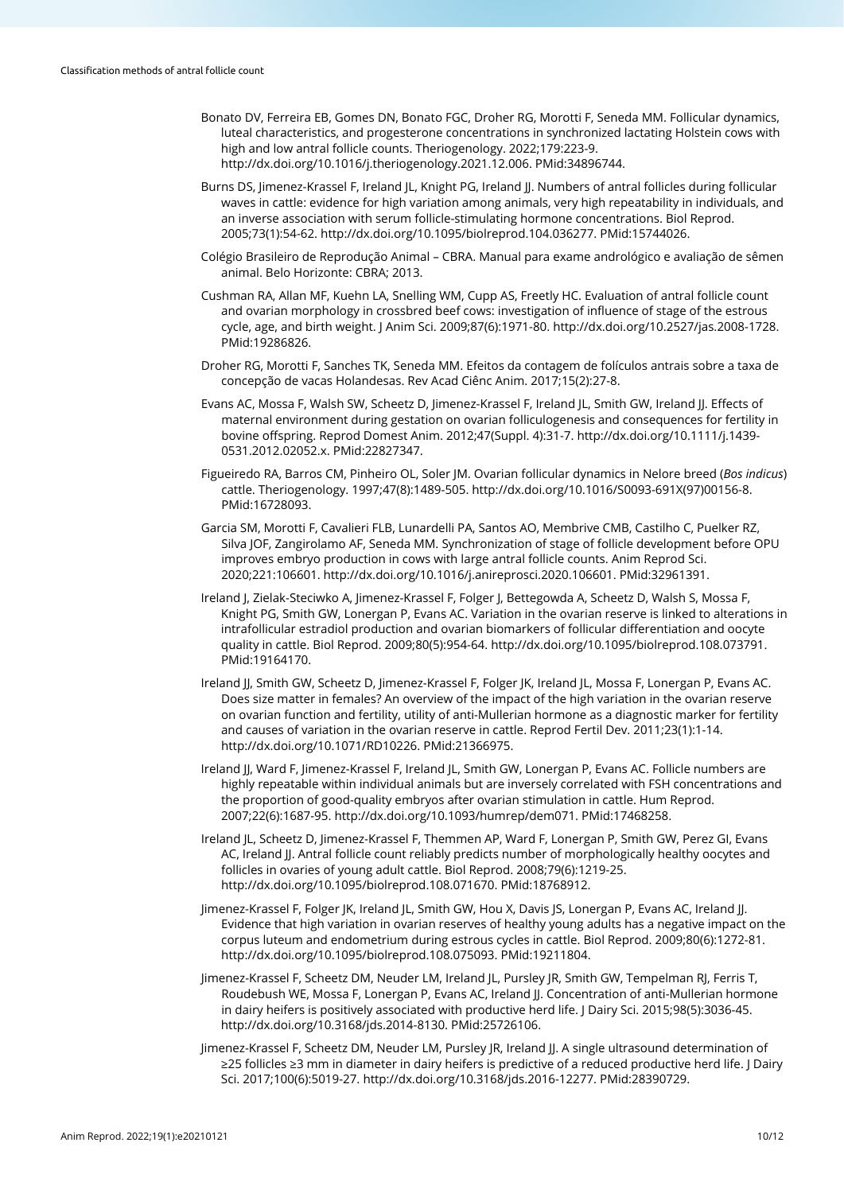- Bonato DV, Ferreira EB, Gomes DN, Bonato FGC, Droher RG, Morotti F, Seneda MM. Follicular dynamics, luteal characteristics, and progesterone concentrations in synchronized lactating Holstein cows with high and low antral follicle counts. Theriogenology. 2022;179:223-9. [http://dx.doi.org/10.1016/j.theriogenology.2021.12.006.](https://doi.org/10.1016/j.theriogenology.2021.12.006) [PMid:34896744.](https://www.ncbi.nlm.nih.gov/entrez/query.fcgi?cmd=Retrieve&db=PubMed&list_uids=34896744&dopt=Abstract)
- Burns DS, Jimenez-Krassel F, Ireland IL, Knight PG, Ireland II, Numbers of antral follicles during follicular waves in cattle: evidence for high variation among animals, very high repeatability in individuals, and an inverse association with serum follicle-stimulating hormone concentrations. Biol Reprod. 2005;73(1):54-62[. http://dx.doi.org/10.1095/biolreprod.104.036277.](https://doi.org/10.1095/biolreprod.104.036277) [PMid:15744026.](https://www.ncbi.nlm.nih.gov/entrez/query.fcgi?cmd=Retrieve&db=PubMed&list_uids=15744026&dopt=Abstract)
- Colégio Brasileiro de Reprodução Animal CBRA. Manual para exame andrológico e avaliação de sêmen animal. Belo Horizonte: CBRA; 2013.
- Cushman RA, Allan MF, Kuehn LA, Snelling WM, Cupp AS, Freetly HC. Evaluation of antral follicle count and ovarian morphology in crossbred beef cows: investigation of influence of stage of the estrous cycle, age, and birth weight. J Anim Sci. 2009;87(6):1971-80[. http://dx.doi.org/10.2527/jas.2008-1728.](https://doi.org/10.2527/jas.2008-1728) [PMid:19286826.](https://www.ncbi.nlm.nih.gov/entrez/query.fcgi?cmd=Retrieve&db=PubMed&list_uids=19286826&dopt=Abstract)
- Droher RG, Morotti F, Sanches TK, Seneda MM. Efeitos da contagem de folículos antrais sobre a taxa de concepção de vacas Holandesas. Rev Acad Ciênc Anim. 2017;15(2):27-8.
- Evans AC, Mossa F, Walsh SW, Scheetz D, Jimenez-Krassel F, Ireland JL, Smith GW, Ireland JJ. Effects of maternal environment during gestation on ovarian folliculogenesis and consequences for fertility in bovine offspring. Reprod Domest Anim. 2012;47(Suppl. 4):31-7. [http://dx.doi.org/10.1111/j.1439-](https://doi.org/10.1111/j.1439-0531.2012.02052.x) [0531.2012.02052.x.](https://doi.org/10.1111/j.1439-0531.2012.02052.x) [PMid:22827347.](https://www.ncbi.nlm.nih.gov/entrez/query.fcgi?cmd=Retrieve&db=PubMed&list_uids=22827347&dopt=Abstract)
- Figueiredo RA, Barros CM, Pinheiro OL, Soler JM. Ovarian follicular dynamics in Nelore breed (*Bos indicus*) cattle. Theriogenology. 1997;47(8):1489-505. [http://dx.doi.org/10.1016/S0093-691X\(97\)00156-8.](https://doi.org/10.1016/S0093-691X(97)00156-8) [PMid:16728093.](https://www.ncbi.nlm.nih.gov/entrez/query.fcgi?cmd=Retrieve&db=PubMed&list_uids=16728093&dopt=Abstract)
- Garcia SM, Morotti F, Cavalieri FLB, Lunardelli PA, Santos AO, Membrive CMB, Castilho C, Puelker RZ, Silva JOF, Zangirolamo AF, Seneda MM. Synchronization of stage of follicle development before OPU improves embryo production in cows with large antral follicle counts. Anim Reprod Sci. 2020;221:106601[. http://dx.doi.org/10.1016/j.anireprosci.2020.106601.](https://doi.org/10.1016/j.anireprosci.2020.106601) [PMid:32961391.](https://www.ncbi.nlm.nih.gov/entrez/query.fcgi?cmd=Retrieve&db=PubMed&list_uids=32961391&dopt=Abstract)
- Ireland J, Zielak-Steciwko A, Jimenez-Krassel F, Folger J, Bettegowda A, Scheetz D, Walsh S, Mossa F, Knight PG, Smith GW, Lonergan P, Evans AC. Variation in the ovarian reserve is linked to alterations in intrafollicular estradiol production and ovarian biomarkers of follicular differentiation and oocyte quality in cattle. Biol Reprod. 2009;80(5):954-64[. http://dx.doi.org/10.1095/biolreprod.108.073791](https://doi.org/10.1095/biolreprod.108.073791)[.](https://www.ncbi.nlm.nih.gov/entrez/query.fcgi?cmd=Retrieve&db=PubMed&list_uids=19164170&dopt=Abstract) [PMid:19164170.](https://www.ncbi.nlm.nih.gov/entrez/query.fcgi?cmd=Retrieve&db=PubMed&list_uids=19164170&dopt=Abstract)
- Ireland JJ, Smith GW, Scheetz D, Jimenez-Krassel F, Folger JK, Ireland JL, Mossa F, Lonergan P, Evans AC. Does size matter in females? An overview of the impact of the high variation in the ovarian reserve on ovarian function and fertility, utility of anti-Mullerian hormone as a diagnostic marker for fertility and causes of variation in the ovarian reserve in cattle. Reprod Fertil Dev. 2011;23(1):1-14. [http://dx.doi.org/10.1071/RD10226.](https://doi.org/10.1071/RD10226) [PMid:21366975.](https://www.ncbi.nlm.nih.gov/entrez/query.fcgi?cmd=Retrieve&db=PubMed&list_uids=21366975&dopt=Abstract)
- Ireland JJ, Ward F, Jimenez-Krassel F, Ireland JL, Smith GW, Lonergan P, Evans AC. Follicle numbers are highly repeatable within individual animals but are inversely correlated with FSH concentrations and the proportion of good-quality embryos after ovarian stimulation in cattle. Hum Reprod. 2007;22(6):1687-95. [http://dx.doi.org/10.1093/humrep/dem071.](https://doi.org/10.1093/humrep/dem071) [PMid:17468258.](https://www.ncbi.nlm.nih.gov/entrez/query.fcgi?cmd=Retrieve&db=PubMed&list_uids=17468258&dopt=Abstract)
- Ireland JL, Scheetz D, Jimenez-Krassel F, Themmen AP, Ward F, Lonergan P, Smith GW, Perez GI, Evans AC, Ireland JJ. Antral follicle count reliably predicts number of morphologically healthy oocytes and follicles in ovaries of young adult cattle. Biol Reprod. 2008;79(6):1219-25. [http://dx.doi.org/10.1095/biolreprod.108.071670.](https://doi.org/10.1095/biolreprod.108.071670) [PMid:18768912.](https://www.ncbi.nlm.nih.gov/entrez/query.fcgi?cmd=Retrieve&db=PubMed&list_uids=18768912&dopt=Abstract)
- Jimenez-Krassel F, Folger JK, Ireland JL, Smith GW, Hou X, Davis JS, Lonergan P, Evans AC, Ireland JJ. Evidence that high variation in ovarian reserves of healthy young adults has a negative impact on the corpus luteum and endometrium during estrous cycles in cattle. Biol Reprod. 2009;80(6):1272-81. [http://dx.doi.org/10.1095/biolreprod.108.075093.](https://doi.org/10.1095/biolreprod.108.075093) [PMid:19211804.](https://www.ncbi.nlm.nih.gov/entrez/query.fcgi?cmd=Retrieve&db=PubMed&list_uids=19211804&dopt=Abstract)
- Jimenez-Krassel F, Scheetz DM, Neuder LM, Ireland JL, Pursley JR, Smith GW, Tempelman RJ, Ferris T, Roudebush WE, Mossa F, Lonergan P, Evans AC, Ireland JJ. Concentration of anti-Mullerian hormone in dairy heifers is positively associated with productive herd life. J Dairy Sci. 2015;98(5):3036-45. [http://dx.doi.org/10.3168/jds.2014-8130.](https://doi.org/10.3168/jds.2014-8130) [PMid:25726106.](https://www.ncbi.nlm.nih.gov/entrez/query.fcgi?cmd=Retrieve&db=PubMed&list_uids=25726106&dopt=Abstract)
- Jimenez-Krassel F, Scheetz DM, Neuder LM, Pursley JR, Ireland JJ. A single ultrasound determination of ≥25 follicles ≥3 mm in diameter in dairy heifers is predictive of a reduced productive herd life. J Dairy Sci. 2017;100(6):5019-27. [http://dx.doi.org/10.3168/jds.2016-12277.](https://doi.org/10.3168/jds.2016-12277) [PMid:28390729.](https://www.ncbi.nlm.nih.gov/entrez/query.fcgi?cmd=Retrieve&db=PubMed&list_uids=28390729&dopt=Abstract)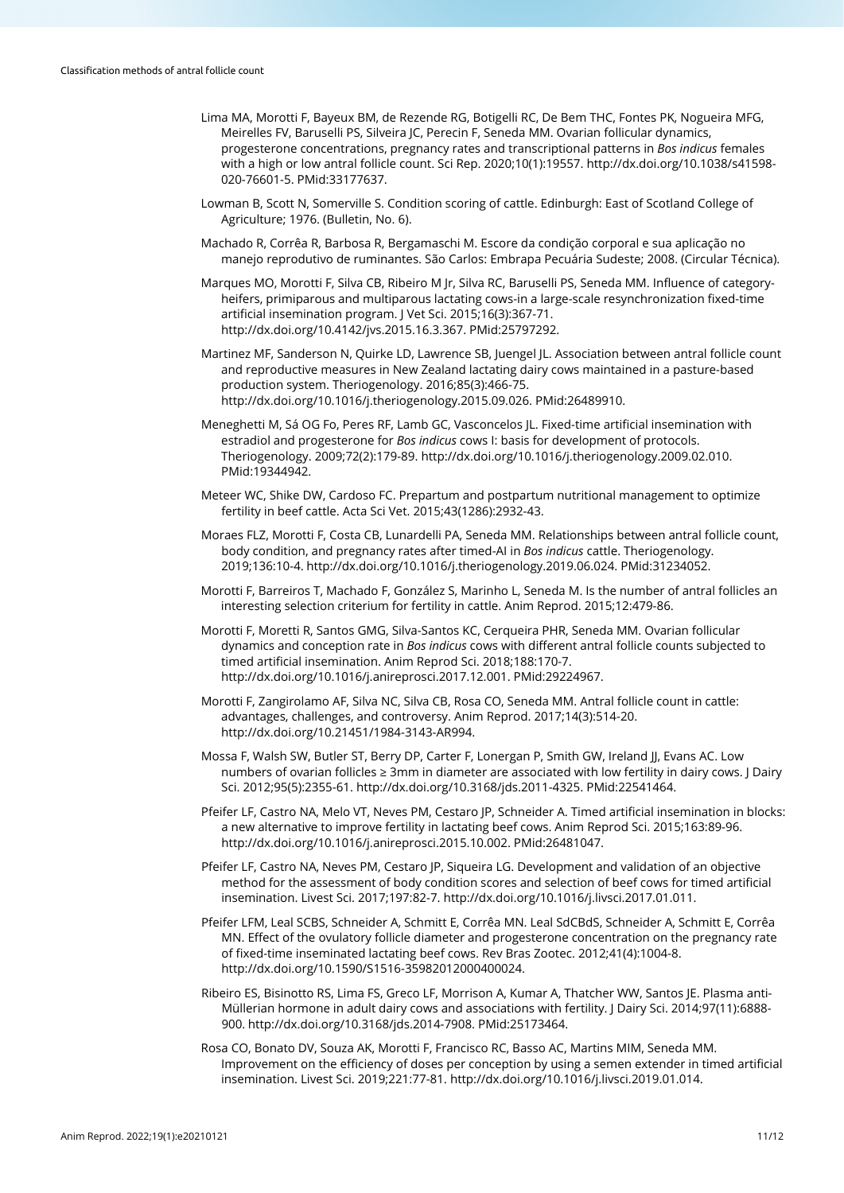- Lima MA, Morotti F, Bayeux BM, de Rezende RG, Botigelli RC, De Bem THC, Fontes PK, Nogueira MFG, Meirelles FV, Baruselli PS, Silveira JC, Perecin F, Seneda MM. Ovarian follicular dynamics, progesterone concentrations, pregnancy rates and transcriptional patterns in *Bos indicus* females with a high or low antral follicle count. Sci Rep. 2020;10(1):19557. [http://dx.doi.org/10.1038/s41598-](https://doi.org/10.1038/s41598-020-76601-5) [020-76601-5.](https://doi.org/10.1038/s41598-020-76601-5) [PMid:33177637.](https://www.ncbi.nlm.nih.gov/entrez/query.fcgi?cmd=Retrieve&db=PubMed&list_uids=33177637&dopt=Abstract)
- Lowman B, Scott N, Somerville S. Condition scoring of cattle. Edinburgh: East of Scotland College of Agriculture; 1976. (Bulletin, No. 6).
- Machado R, Corrêa R, Barbosa R, Bergamaschi M. Escore da condição corporal e sua aplicação no manejo reprodutivo de ruminantes. São Carlos: Embrapa Pecuária Sudeste; 2008. (Circular Técnica).
- Marques MO, Morotti F, Silva CB, Ribeiro M Jr, Silva RC, Baruselli PS, Seneda MM. Influence of categoryheifers, primiparous and multiparous lactating cows-in a large-scale resynchronization fixed-time artificial insemination program. J Vet Sci. 2015;16(3):367-71. [http://dx.doi.org/10.4142/jvs.2015.16.3.367.](https://doi.org/10.4142/jvs.2015.16.3.367) [PMid:25797292.](https://www.ncbi.nlm.nih.gov/entrez/query.fcgi?cmd=Retrieve&db=PubMed&list_uids=25797292&dopt=Abstract)
- Martinez MF, Sanderson N, Quirke LD, Lawrence SB, Juengel JL. Association between antral follicle count and reproductive measures in New Zealand lactating dairy cows maintained in a pasture-based production system. Theriogenology. 2016;85(3):466-75. [http://dx.doi.org/10.1016/j.theriogenology.2015.09.026.](https://doi.org/10.1016/j.theriogenology.2015.09.026) [PMid:26489910.](https://www.ncbi.nlm.nih.gov/entrez/query.fcgi?cmd=Retrieve&db=PubMed&list_uids=26489910&dopt=Abstract)
- Meneghetti M, Sá OG Fo, Peres RF, Lamb GC, Vasconcelos JL. Fixed-time artificial insemination with estradiol and progesterone for *Bos indicus* cows I: basis for development of protocols. Theriogenology. 2009;72(2):179-89. [http://dx.doi.org/10.1016/j.theriogenology.2009.02.010](https://doi.org/10.1016/j.theriogenology.2009.02.010)[.](https://www.ncbi.nlm.nih.gov/entrez/query.fcgi?cmd=Retrieve&db=PubMed&list_uids=19344942&dopt=Abstract) [PMid:19344942.](https://www.ncbi.nlm.nih.gov/entrez/query.fcgi?cmd=Retrieve&db=PubMed&list_uids=19344942&dopt=Abstract)
- Meteer WC, Shike DW, Cardoso FC. Prepartum and postpartum nutritional management to optimize fertility in beef cattle. Acta Sci Vet. 2015;43(1286):2932-43.
- Moraes FLZ, Morotti F, Costa CB, Lunardelli PA, Seneda MM. Relationships between antral follicle count, body condition, and pregnancy rates after timed-AI in *Bos indicus* cattle. Theriogenology. 2019;136:10-4[. http://dx.doi.org/10.1016/j.theriogenology.2019.06.024.](https://doi.org/10.1016/j.theriogenology.2019.06.024) [PMid:31234052.](https://www.ncbi.nlm.nih.gov/entrez/query.fcgi?cmd=Retrieve&db=PubMed&list_uids=31234052&dopt=Abstract)
- Morotti F, Barreiros T, Machado F, González S, Marinho L, Seneda M. Is the number of antral follicles an interesting selection criterium for fertility in cattle. Anim Reprod. 2015;12:479-86.
- Morotti F, Moretti R, Santos GMG, Silva-Santos KC, Cerqueira PHR, Seneda MM. Ovarian follicular dynamics and conception rate in *Bos indicus* cows with different antral follicle counts subjected to timed artificial insemination. Anim Reprod Sci. 2018;188:170-7. [http://dx.doi.org/10.1016/j.anireprosci.2017.12.001.](https://doi.org/10.1016/j.anireprosci.2017.12.001) [PMid:29224967.](https://www.ncbi.nlm.nih.gov/entrez/query.fcgi?cmd=Retrieve&db=PubMed&list_uids=29224967&dopt=Abstract)
- Morotti F, Zangirolamo AF, Silva NC, Silva CB, Rosa CO, Seneda MM. Antral follicle count in cattle: advantages, challenges, and controversy. Anim Reprod. 2017;14(3):514-20. [http://dx.doi.org/10.21451/1984-3143-AR994.](https://doi.org/10.21451/1984-3143-AR994)
- Mossa F, Walsh SW, Butler ST, Berry DP, Carter F, Lonergan P, Smith GW, Ireland JJ, Evans AC. Low numbers of ovarian follicles ≥ 3mm in diameter are associated with low fertility in dairy cows. J Dairy Sci. 2012;95(5):2355-61[. http://dx.doi.org/10.3168/jds.2011-4325.](https://doi.org/10.3168/jds.2011-4325) [PMid:22541464.](https://www.ncbi.nlm.nih.gov/entrez/query.fcgi?cmd=Retrieve&db=PubMed&list_uids=22541464&dopt=Abstract)
- Pfeifer LF, Castro NA, Melo VT, Neves PM, Cestaro JP, Schneider A. Timed artificial insemination in blocks: a new alternative to improve fertility in lactating beef cows. Anim Reprod Sci. 2015;163:89-96. [http://dx.doi.org/10.1016/j.anireprosci.2015.10.002.](https://doi.org/10.1016/j.anireprosci.2015.10.002) [PMid:26481047.](https://www.ncbi.nlm.nih.gov/entrez/query.fcgi?cmd=Retrieve&db=PubMed&list_uids=26481047&dopt=Abstract)
- Pfeifer LF, Castro NA, Neves PM, Cestaro JP, Siqueira LG. Development and validation of an objective method for the assessment of body condition scores and selection of beef cows for timed artificial insemination. Livest Sci. 2017;197:82-7[. http://dx.doi.org/10.1016/j.livsci.2017.01.011.](https://doi.org/10.1016/j.livsci.2017.01.011)
- Pfeifer LFM, Leal SCBS, Schneider A, Schmitt E, Corrêa MN. Leal SdCBdS, Schneider A, Schmitt E, Corrêa MN. Effect of the ovulatory follicle diameter and progesterone concentration on the pregnancy rate of fixed-time inseminated lactating beef cows. Rev Bras Zootec. 2012;41(4):1004-8. [http://dx.doi.org/10.1590/S1516-35982012000400024.](https://doi.org/10.1590/S1516-35982012000400024)
- Ribeiro ES, Bisinotto RS, Lima FS, Greco LF, Morrison A, Kumar A, Thatcher WW, Santos JE. Plasma anti-Müllerian hormone in adult dairy cows and associations with fertility. J Dairy Sci. 2014;97(11):6888- 900[. http://dx.doi.org/10.3168/jds.2014-7908.](https://doi.org/10.3168/jds.2014-7908) [PMid:25173464.](https://www.ncbi.nlm.nih.gov/entrez/query.fcgi?cmd=Retrieve&db=PubMed&list_uids=25173464&dopt=Abstract)
- Rosa CO, Bonato DV, Souza AK, Morotti F, Francisco RC, Basso AC, Martins MIM, Seneda MM. Improvement on the efficiency of doses per conception by using a semen extender in timed artificial insemination. Livest Sci. 2019;221:77-81[. http://dx.doi.org/10.1016/j.livsci.2019.01.014.](https://doi.org/10.1016/j.livsci.2019.01.014)